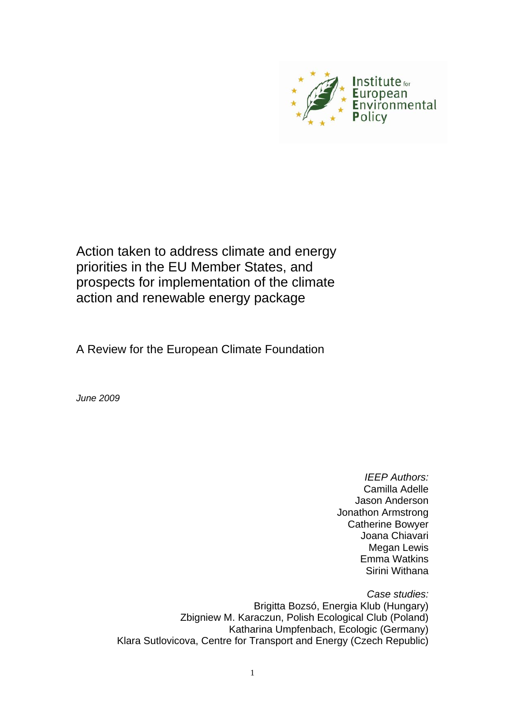

Action taken to address climate and energy priorities in the EU Member States, and prospects for implementation of the climate action and renewable energy package

A Review for the European Climate Foundation

*June 2009* 

*IEEP Authors:*  Camilla Adelle Jason Anderson Jonathon Armstrong Catherine Bowyer Joana Chiavari Megan Lewis Emma Watkins Sirini Withana

*Case studies:*  Brigitta Bozsó, Energia Klub (Hungary) Zbigniew M. Karaczun, Polish Ecological Club (Poland) Katharina Umpfenbach, Ecologic (Germany) Klara Sutlovicova, Centre for Transport and Energy (Czech Republic)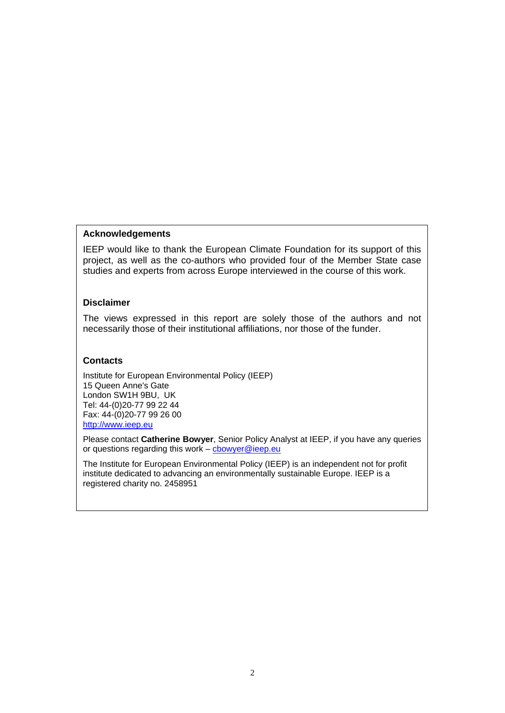#### **Acknowledgements**

IEEP would like to thank the European Climate Foundation for its support of this project, as well as the co-authors who provided four of the Member State case studies and experts from across Europe interviewed in the course of this work.

#### **Disclaimer**

The views expressed in this report are solely those of the authors and not necessarily those of their institutional affiliations, nor those of the funder.

#### **Contacts**

Institute for European Environmental Policy (IEEP) 15 Queen Anne's Gate London SW1H 9BU, UK Tel: 44-(0)20-77 99 22 44 Fax: 44-(0)20-77 99 26 00 [http://www.ieep.eu](http://www.ieep.eu/)

Please contact **Catherine Bowyer**, Senior Policy Analyst at IEEP, if you have any queries or questions regarding this work – [cbowyer@ieep.eu](mailto:cbowyer@ieep.eu)

The Institute for European Environmental Policy (IEEP) is an independent not for profit institute dedicated to advancing an environmentally sustainable Europe. IEEP is a registered charity no. 2458951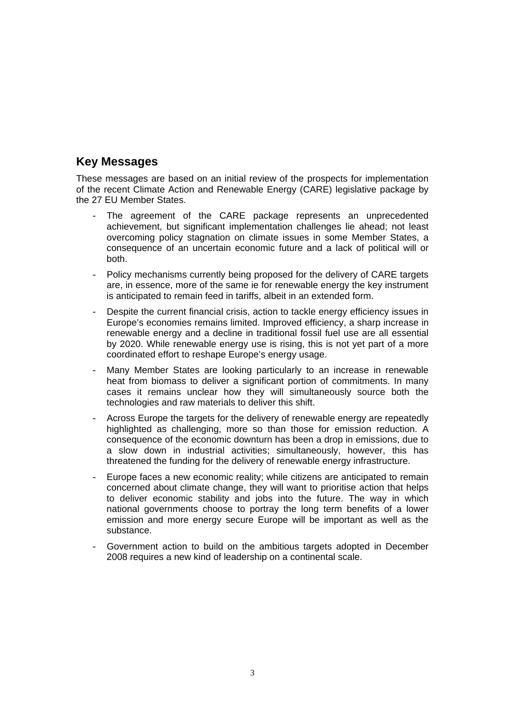# **Key Messages**

These messages are based on an initial review of the prospects for implementation of the recent Climate Action and Renewable Energy (CARE) legislative package by the 27 EU Member States.

- The agreement of the CARE package represents an unprecedented achievement, but significant implementation challenges lie ahead; not least overcoming policy stagnation on climate issues in some Member States, a consequence of an uncertain economic future and a lack of political will or both.
- Policy mechanisms currently being proposed for the delivery of CARE targets are, in essence, more of the same ie for renewable energy the key instrument is anticipated to remain feed in tariffs, albeit in an extended form.
- Despite the current financial crisis, action to tackle energy efficiency issues in Europe's economies remains limited. Improved efficiency, a sharp increase in renewable energy and a decline in traditional fossil fuel use are all essential by 2020. While renewable energy use is rising, this is not yet part of a more coordinated effort to reshape Europe's energy usage.
- Many Member States are looking particularly to an increase in renewable heat from biomass to deliver a significant portion of commitments. In many cases it remains unclear how they will simultaneously source both the technologies and raw materials to deliver this shift.
- Across Europe the targets for the delivery of renewable energy are repeatedly highlighted as challenging, more so than those for emission reduction. A consequence of the economic downturn has been a drop in emissions, due to a slow down in industrial activities; simultaneously, however, this has threatened the funding for the delivery of renewable energy infrastructure.
- Europe faces a new economic reality; while citizens are anticipated to remain concerned about climate change, they will want to prioritise action that helps to deliver economic stability and jobs into the future. The way in which national governments choose to portray the long term benefits of a lower emission and more energy secure Europe will be important as well as the substance.
- Government action to build on the ambitious targets adopted in December 2008 requires a new kind of leadership on a continental scale.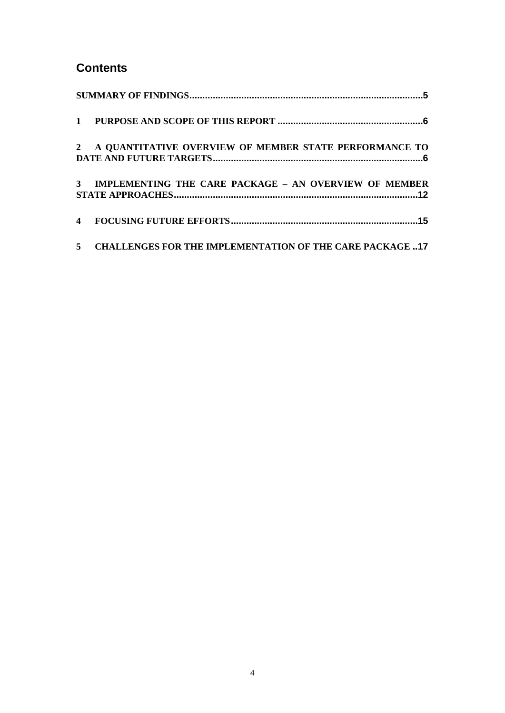# **Contents**

| 2 A QUANTITATIVE OVERVIEW OF MEMBER STATE PERFORMANCE TO   |
|------------------------------------------------------------|
| 3 IMPLEMENTING THE CARE PACKAGE - AN OVERVIEW OF MEMBER    |
|                                                            |
| 5 CHALLENGES FOR THE IMPLEMENTATION OF THE CARE PACKAGE 17 |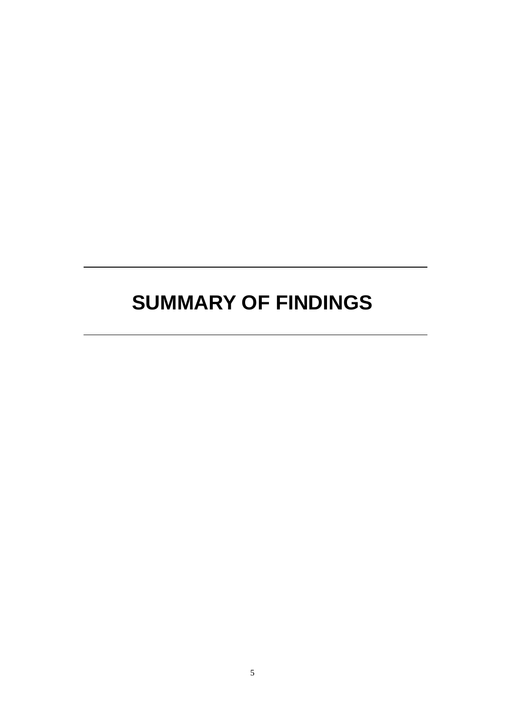# <span id="page-4-0"></span>**SUMMARY OF FINDINGS**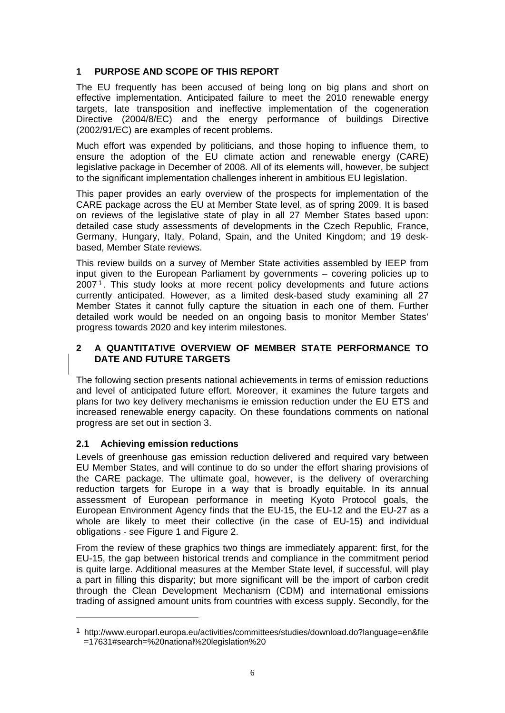# <span id="page-5-0"></span>**1 PURPOSE AND SCOPE OF THIS REPORT**

The EU frequently has been accused of being long on big plans and short on effective implementation. Anticipated failure to meet the 2010 renewable energy targets, late transposition and ineffective implementation of the cogeneration Directive (2004/8/EC) and the energy performance of buildings Directive (2002/91/EC) are examples of recent problems.

Much effort was expended by politicians, and those hoping to influence them, to ensure the adoption of the EU climate action and renewable energy (CARE) legislative package in December of 2008. All of its elements will, however, be subject to the significant implementation challenges inherent in ambitious EU legislation.

This paper provides an early overview of the prospects for implementation of the CARE package across the EU at Member State level, as of spring 2009. It is based on reviews of the legislative state of play in all 27 Member States based upon: detailed case study assessments of developments in the Czech Republic, France, Germany, Hungary, Italy, Poland, Spain, and the United Kingdom; and 19 deskbased, Member State reviews.

This review builds on a survey of Member State activities assembled by IEEP from input given to the European Parliament by governments – covering policies up to 2007 1. This study looks at more recent policy developments and future actions currently anticipated. However, as a limited desk-based study examining all 27 Member States it cannot fully capture the situation in each one of them. Further detailed work would be needed on an ongoing basis to monitor Member States' progress towards 2020 and key interim milestones.

## **2 A QUANTITATIVE OVERVIEW OF MEMBER STATE PERFORMANCE TO DATE AND FUTURE TARGETS**

The following section presents national achievements in terms of emission reductions and level of anticipated future effort. Moreover, it examines the future targets and plans for two key delivery mechanisms ie emission reduction under the EU ETS and increased renewable energy capacity. On these foundations comments on national progress are set out in section 3.

# **2.1 Achieving emission reductions**

Levels of greenhouse gas emission reduction delivered and required vary between EU Member States, and will continue to do so under the effort sharing provisions of the CARE package. The ultimate goal, however, is the delivery of overarching reduction targets for Europe in a way that is broadly equitable. In its annual assessment of European performance in meeting Kyoto Protocol goals, the European Environment Agency finds that the EU-15, the EU-12 and the EU-27 as a whole are likely to meet their collective (in the case of EU-15) and individual obligations - see Figure 1 and Figure 2.

From the review of these graphics two things are immediately apparent: first, for the EU-15, the gap between historical trends and compliance in the commitment period is quite large. Additional measures at the Member State level, if successful, will play a part in filling this disparity; but more significant will be the import of carbon credit through the Clean Development Mechanism (CDM) and international emissions trading of assigned amount units from countries with excess supply. Secondly, for the

<sup>1</sup> http://www.europarl.europa.eu/activities/committees/studies/download.do?language=en&file =17631#search=%20national%20legislation%20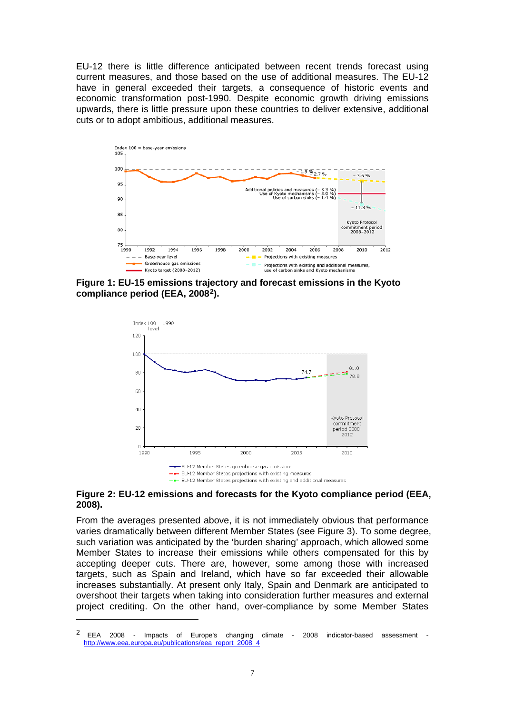EU-12 there is little difference anticipated between recent trends forecast using current measures, and those based on the use of additional measures. The EU-12 have in general exceeded their targets, a consequence of historic events and economic transformation post-1990. Despite economic growth driving emissions upwards, there is little pressure upon these countries to deliver extensive, additional cuts or to adopt ambitious, additional measures.



**Figure 1: EU-15 emissions trajectory and forecast emissions in the Kyoto compliance period (EEA, 20082).** 



#### **Figure 2: EU-12 emissions and forecasts for the Kyoto compliance period (EEA, 2008).**

From the averages presented above, it is not immediately obvious that performance varies dramatically between different Member States (see Figure 3). To some degree, such variation was anticipated by the 'burden sharing' approach, which allowed some Member States to increase their emissions while others compensated for this by accepting deeper cuts. There are, however, some among those with increased targets, such as Spain and Ireland, which have so far exceeded their allowable increases substantially. At present only Italy, Spain and Denmark are anticipated to overshoot their targets when taking into consideration further measures and external project crediting. On the other hand, over-compliance by some Member States

<sup>2</sup> EEA 2008 - Impacts of Europe's changing climate - 2008 indicator-based assessment http://www.eea.europa.eu/publications/eea\_report\_2008\_4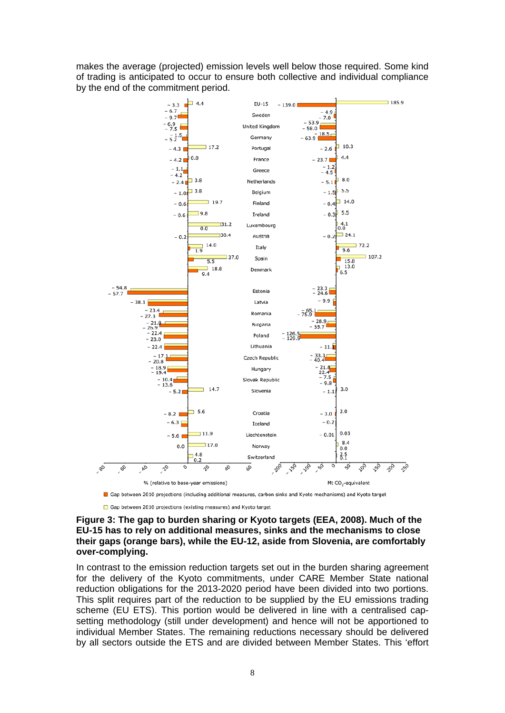makes the average (projected) emission levels well below those required. Some kind of trading is anticipated to occur to ensure both collective and individual compliance by the end of the commitment period.



Gap between 2010 projections (including additional measures, carbon sinks and Kyoto mechanisms) and Kyoto target

Gap between 2010 projections (existing measures) and Kyoto target

#### **Figure 3: The gap to burden sharing or Kyoto targets (EEA, 2008). Much of the EU-15 has to rely on additional measures, sinks and the mechanisms to close their gaps (orange bars), while the EU-12, aside from Slovenia, are comfortably over-complying.**

In contrast to the emission reduction targets set out in the burden sharing agreement for the delivery of the Kyoto commitments, under CARE Member State national reduction obligations for the 2013-2020 period have been divided into two portions. This split requires part of the reduction to be supplied by the EU emissions trading scheme (EU ETS). This portion would be delivered in line with a centralised capsetting methodology (still under development) and hence will not be apportioned to individual Member States. The remaining reductions necessary should be delivered by all sectors outside the ETS and are divided between Member States. This 'effort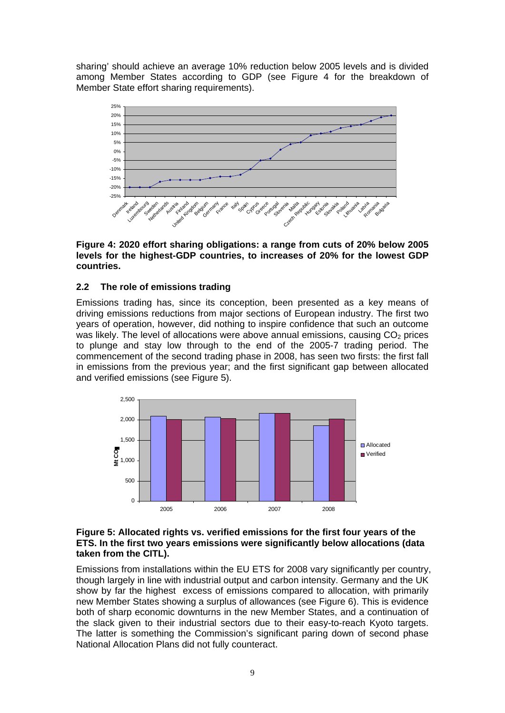sharing' should achieve an average 10% reduction below 2005 levels and is divided among Member States according to GDP (see Figure 4 for the breakdown of Member State effort sharing requirements).



**Figure 4: 2020 effort sharing obligations: a range from cuts of 20% below 2005 levels for the highest-GDP countries, to increases of 20% for the lowest GDP countries.** 

#### **2.2 The role of emissions trading**

Emissions trading has, since its conception, been presented as a key means of driving emissions reductions from major sections of European industry. The first two years of operation, however, did nothing to inspire confidence that such an outcome was likely. The level of allocations were above annual emissions, causing  $CO<sub>2</sub>$  prices to plunge and stay low through to the end of the 2005-7 trading period. The commencement of the second trading phase in 2008, has seen two firsts: the first fall in emissions from the previous year; and the first significant gap between allocated and verified emissions (see Figure 5).



#### **Figure 5: Allocated rights vs. verified emissions for the first four years of the ETS. In the first two years emissions were significantly below allocations (data taken from the CITL).**

Emissions from installations within the EU ETS for 2008 vary significantly per country, though largely in line with industrial output and carbon intensity. Germany and the UK show by far the highest excess of emissions compared to allocation, with primarily new Member States showing a surplus of allowances (see Figure 6). This is evidence both of sharp economic downturns in the new Member States, and a continuation of the slack given to their industrial sectors due to their easy-to-reach Kyoto targets. The latter is something the Commission's significant paring down of second phase National Allocation Plans did not fully counteract.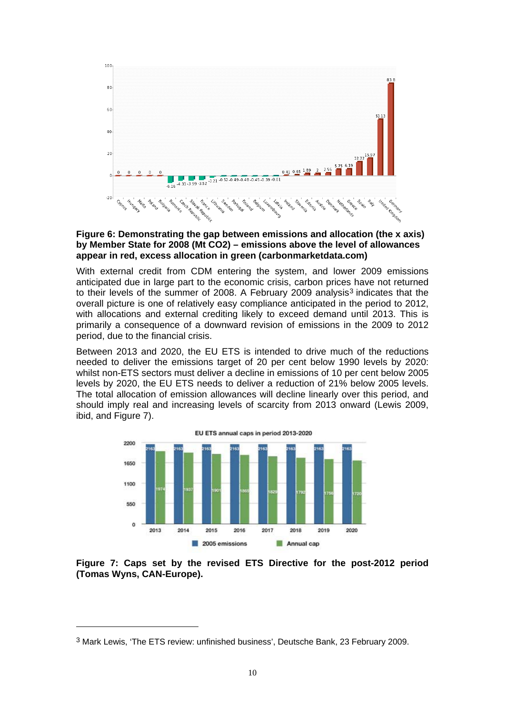

#### **Figure 6: Demonstrating the gap between emissions and allocation (the x axis) by Member State for 2008 (Mt CO2) – emissions above the level of allowances appear in red, excess allocation in green (carbonmarketdata.com)**

With external credit from CDM entering the system, and lower 2009 emissions anticipated due in large part to the economic crisis, carbon prices have not returned to their levels of the summer of 2008. A February 2009 analysis<sup>3</sup> indicates that the overall picture is one of relatively easy compliance anticipated in the period to 2012, with allocations and external crediting likely to exceed demand until 2013. This is primarily a consequence of a downward revision of emissions in the 2009 to 2012 period, due to the financial crisis.

Between 2013 and 2020, the EU ETS is intended to drive much of the reductions needed to deliver the emissions target of 20 per cent below 1990 levels by 2020: whilst non-ETS sectors must deliver a decline in emissions of 10 per cent below 2005 levels by 2020, the EU ETS needs to deliver a reduction of 21% below 2005 levels. The total allocation of emission allowances will decline linearly over this period, and should imply real and increasing levels of scarcity from 2013 onward (Lewis 2009, ibid, and Figure 7).



**Figure 7: Caps set by the revised ETS Directive for the post-2012 period (Tomas Wyns, CAN-Europe).** 

<sup>3</sup> Mark Lewis, 'The ETS review: unfinished business', Deutsche Bank, 23 February 2009.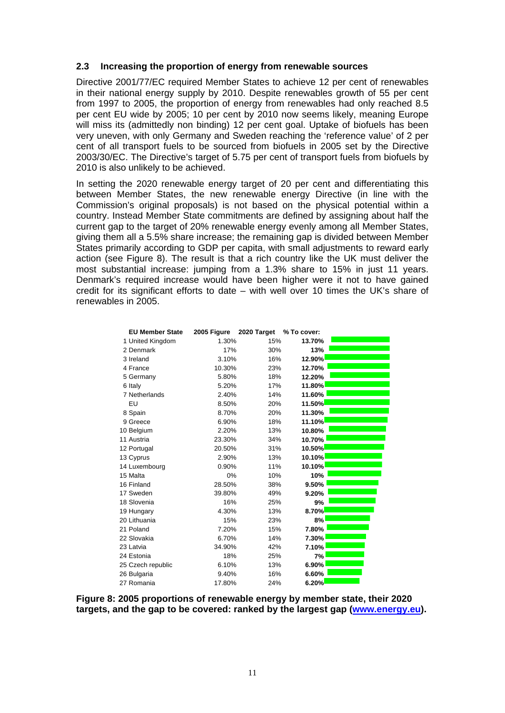#### **2.3 Increasing the proportion of energy from renewable sources**

Directive 2001/77/EC required Member States to achieve 12 per cent of renewables in their national energy supply by 2010. Despite renewables growth of 55 per cent from 1997 to 2005, the proportion of energy from renewables had only reached 8.5 per cent EU wide by 2005; 10 per cent by 2010 now seems likely, meaning Europe will miss its (admittedly non binding) 12 per cent goal. Uptake of biofuels has been very uneven, with only Germany and Sweden reaching the 'reference value' of 2 per cent of all transport fuels to be sourced from biofuels in 2005 set by the Directive 2003/30/EC. The Directive's target of 5.75 per cent of transport fuels from biofuels by 2010 is also unlikely to be achieved.

In setting the 2020 renewable energy target of 20 per cent and differentiating this between Member States, the new renewable energy Directive (in line with the Commission's original proposals) is not based on the physical potential within a country. Instead Member State commitments are defined by assigning about half the current gap to the target of 20% renewable energy evenly among all Member States, giving them all a 5.5% share increase; the remaining gap is divided between Member States primarily according to GDP per capita, with small adjustments to reward early action (see Figure 8). The result is that a rich country like the UK must deliver the most substantial increase: jumping from a 1.3% share to 15% in just 11 years. Denmark's required increase would have been higher were it not to have gained credit for its significant efforts to date – with well over 10 times the UK's share of renewables in 2005.

| <b>EU Member State</b> | 2005 Figure | 2020 Target | % To cover: |  |
|------------------------|-------------|-------------|-------------|--|
| 1 United Kingdom       | 1.30%       | 15%         | 13.70%      |  |
| 2 Denmark              | 17%         | 30%         | 13%         |  |
| 3 Ireland              | 3.10%       | 16%         | 12.90%      |  |
| 4 France               | 10.30%      | 23%         | 12.70%      |  |
| 5 Germany              | 5.80%       | 18%         | 12.20%      |  |
| 6 Italy                | 5.20%       | 17%         | 11.80%      |  |
| 7 Netherlands          | 2.40%       | 14%         | 11.60%      |  |
| EU                     | 8.50%       | 20%         | 11.50%      |  |
| 8 Spain                | 8.70%       | 20%         | 11.30%      |  |
| 9 Greece               | 6.90%       | 18%         | 11.10%      |  |
| 10 Belgium             | 2.20%       | 13%         | 10.80%      |  |
| 11 Austria             | 23.30%      | 34%         | 10.70%      |  |
| 12 Portugal            | 20.50%      | 31%         | 10.50%      |  |
| 13 Cyprus              | 2.90%       | 13%         | 10.10%      |  |
| 14 Luxembourg          | 0.90%       | 11%         | 10.10%      |  |
| 15 Malta               | 0%          | 10%         | 10%         |  |
| 16 Finland             | 28.50%      | 38%         | 9.50%       |  |
| 17 Sweden              | 39.80%      | 49%         | 9.20%       |  |
| 18 Slovenia            | 16%         | 25%         | 9%          |  |
| 19 Hungary             | 4.30%       | 13%         | 8.70%       |  |
| 20 Lithuania           | 15%         | 23%         | 8%          |  |
| 21 Poland              | 7.20%       | 15%         | 7.80%       |  |
| 22 Slovakia            | 6.70%       | 14%         | 7.30%       |  |
| 23 Latvia              | 34.90%      | 42%         | 7.10%       |  |
| 24 Estonia             | 18%         | 25%         | 7%          |  |
| 25 Czech republic      | 6.10%       | 13%         | 6.90%       |  |
| 26 Bulgaria            | 9.40%       | 16%         | 6.60%       |  |
| 27 Romania             | 17.80%      | 24%         | 6.20%       |  |

**Figure 8: 2005 proportions of renewable energy by member state, their 2020 targets, and the gap to be covered: ranked by the largest gap (www.energy.eu).**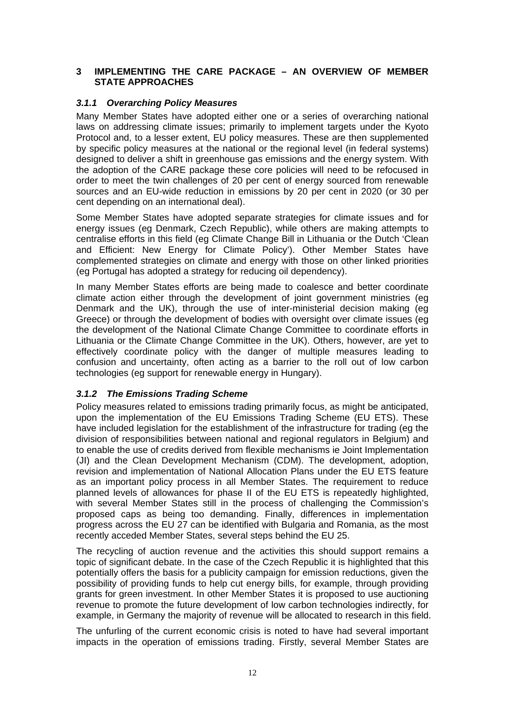#### <span id="page-11-0"></span>**3 IMPLEMENTING THE CARE PACKAGE – AN OVERVIEW OF MEMBER STATE APPROACHES**

#### *3.1.1 Overarching Policy Measures*

Many Member States have adopted either one or a series of overarching national laws on addressing climate issues; primarily to implement targets under the Kyoto Protocol and, to a lesser extent, EU policy measures. These are then supplemented by specific policy measures at the national or the regional level (in federal systems) designed to deliver a shift in greenhouse gas emissions and the energy system. With the adoption of the CARE package these core policies will need to be refocused in order to meet the twin challenges of 20 per cent of energy sourced from renewable sources and an EU-wide reduction in emissions by 20 per cent in 2020 (or 30 per cent depending on an international deal).

Some Member States have adopted separate strategies for climate issues and for energy issues (eg Denmark, Czech Republic), while others are making attempts to centralise efforts in this field (eg Climate Change Bill in Lithuania or the Dutch 'Clean and Efficient: New Energy for Climate Policy'). Other Member States have complemented strategies on climate and energy with those on other linked priorities (eg Portugal has adopted a strategy for reducing oil dependency).

In many Member States efforts are being made to coalesce and better coordinate climate action either through the development of joint government ministries (eg Denmark and the UK), through the use of inter-ministerial decision making (eg Greece) or through the development of bodies with oversight over climate issues (eg the development of the National Climate Change Committee to coordinate efforts in Lithuania or the Climate Change Committee in the UK). Others, however, are yet to effectively coordinate policy with the danger of multiple measures leading to confusion and uncertainty, often acting as a barrier to the roll out of low carbon technologies (eg support for renewable energy in Hungary).

#### *3.1.2 The Emissions Trading Scheme*

Policy measures related to emissions trading primarily focus, as might be anticipated, upon the implementation of the EU Emissions Trading Scheme (EU ETS). These have included legislation for the establishment of the infrastructure for trading (eg the division of responsibilities between national and regional regulators in Belgium) and to enable the use of credits derived from flexible mechanisms ie Joint Implementation (JI) and the Clean Development Mechanism (CDM). The development, adoption, revision and implementation of National Allocation Plans under the EU ETS feature as an important policy process in all Member States. The requirement to reduce planned levels of allowances for phase II of the EU ETS is repeatedly highlighted, with several Member States still in the process of challenging the Commission's proposed caps as being too demanding. Finally, differences in implementation progress across the EU 27 can be identified with Bulgaria and Romania, as the most recently acceded Member States, several steps behind the EU 25.

The recycling of auction revenue and the activities this should support remains a topic of significant debate. In the case of the Czech Republic it is highlighted that this potentially offers the basis for a publicity campaign for emission reductions, given the possibility of providing funds to help cut energy bills, for example, through providing grants for green investment. In other Member States it is proposed to use auctioning revenue to promote the future development of low carbon technologies indirectly, for example, in Germany the majority of revenue will be allocated to research in this field.

The unfurling of the current economic crisis is noted to have had several important impacts in the operation of emissions trading. Firstly, several Member States are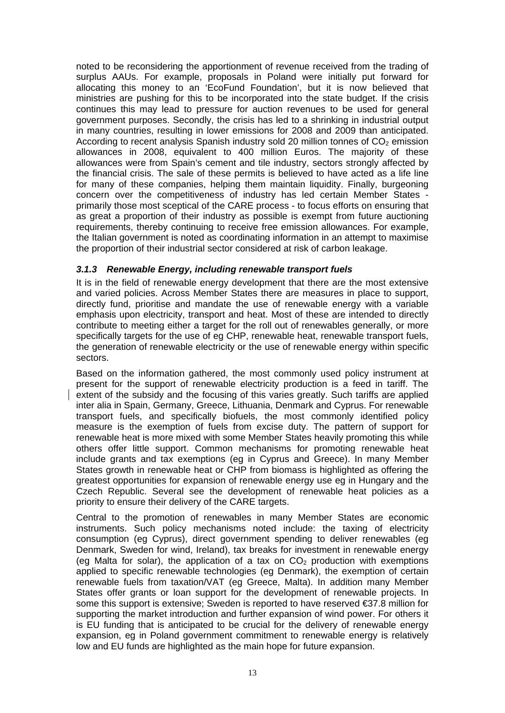noted to be reconsidering the apportionment of revenue received from the trading of surplus AAUs. For example, proposals in Poland were initially put forward for allocating this money to an 'EcoFund Foundation', but it is now believed that ministries are pushing for this to be incorporated into the state budget. If the crisis continues this may lead to pressure for auction revenues to be used for general government purposes. Secondly, the crisis has led to a shrinking in industrial output in many countries, resulting in lower emissions for 2008 and 2009 than anticipated. According to recent analysis Spanish industry sold 20 million tonnes of  $CO<sub>2</sub>$  emission allowances in 2008, equivalent to 400 million Euros. The majority of these allowances were from Spain's cement and tile industry, sectors strongly affected by the financial crisis. The sale of these permits is believed to have acted as a life line for many of these companies, helping them maintain liquidity. Finally, burgeoning concern over the competitiveness of industry has led certain Member States primarily those most sceptical of the CARE process - to focus efforts on ensuring that as great a proportion of their industry as possible is exempt from future auctioning requirements, thereby continuing to receive free emission allowances. For example, the Italian government is noted as coordinating information in an attempt to maximise the proportion of their industrial sector considered at risk of carbon leakage.

# *3.1.3 Renewable Energy, including renewable transport fuels*

It is in the field of renewable energy development that there are the most extensive and varied policies. Across Member States there are measures in place to support, directly fund, prioritise and mandate the use of renewable energy with a variable emphasis upon electricity, transport and heat. Most of these are intended to directly contribute to meeting either a target for the roll out of renewables generally, or more specifically targets for the use of eg CHP, renewable heat, renewable transport fuels, the generation of renewable electricity or the use of renewable energy within specific sectors.

Based on the information gathered, the most commonly used policy instrument at present for the support of renewable electricity production is a feed in tariff. The extent of the subsidy and the focusing of this varies greatly. Such tariffs are applied inter alia in Spain, Germany, Greece, Lithuania, Denmark and Cyprus. For renewable transport fuels, and specifically biofuels, the most commonly identified policy measure is the exemption of fuels from excise duty. The pattern of support for renewable heat is more mixed with some Member States heavily promoting this while others offer little support. Common mechanisms for promoting renewable heat include grants and tax exemptions (eg in Cyprus and Greece). In many Member States growth in renewable heat or CHP from biomass is highlighted as offering the greatest opportunities for expansion of renewable energy use eg in Hungary and the Czech Republic. Several see the development of renewable heat policies as a priority to ensure their delivery of the CARE targets.

Central to the promotion of renewables in many Member States are economic instruments. Such policy mechanisms noted include: the taxing of electricity consumption (eg Cyprus), direct government spending to deliver renewables (eg Denmark, Sweden for wind, Ireland), tax breaks for investment in renewable energy (eq Malta for solar), the application of a tax on  $CO<sub>2</sub>$  production with exemptions applied to specific renewable technologies (eg Denmark), the exemption of certain renewable fuels from taxation/VAT (eg Greece, Malta). In addition many Member States offer grants or loan support for the development of renewable projects. In some this support is extensive: Sweden is reported to have reserved €37.8 million for supporting the market introduction and further expansion of wind power. For others it is EU funding that is anticipated to be crucial for the delivery of renewable energy expansion, eg in Poland government commitment to renewable energy is relatively low and EU funds are highlighted as the main hope for future expansion.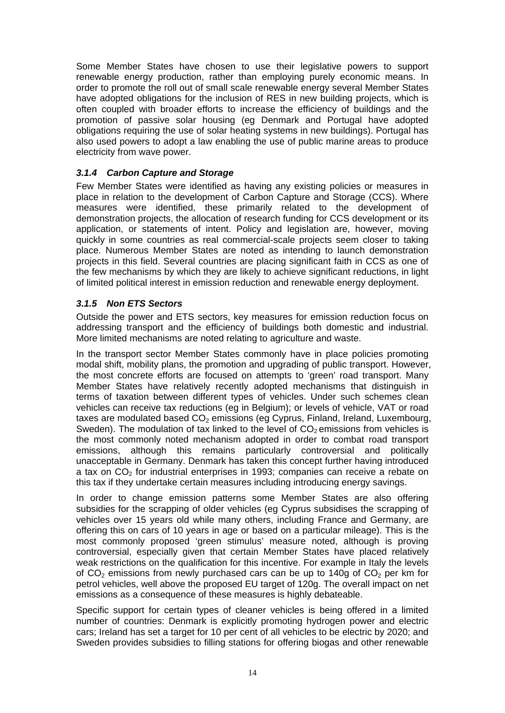Some Member States have chosen to use their legislative powers to support renewable energy production, rather than employing purely economic means. In order to promote the roll out of small scale renewable energy several Member States have adopted obligations for the inclusion of RES in new building projects, which is often coupled with broader efforts to increase the efficiency of buildings and the promotion of passive solar housing (eg Denmark and Portugal have adopted obligations requiring the use of solar heating systems in new buildings). Portugal has also used powers to adopt a law enabling the use of public marine areas to produce electricity from wave power.

# *3.1.4 Carbon Capture and Storage*

Few Member States were identified as having any existing policies or measures in place in relation to the development of Carbon Capture and Storage (CCS). Where measures were identified, these primarily related to the development of demonstration projects, the allocation of research funding for CCS development or its application, or statements of intent. Policy and legislation are, however, moving quickly in some countries as real commercial-scale projects seem closer to taking place. Numerous Member States are noted as intending to launch demonstration projects in this field. Several countries are placing significant faith in CCS as one of the few mechanisms by which they are likely to achieve significant reductions, in light of limited political interest in emission reduction and renewable energy deployment.

## *3.1.5 Non ETS Sectors*

Outside the power and ETS sectors, key measures for emission reduction focus on addressing transport and the efficiency of buildings both domestic and industrial. More limited mechanisms are noted relating to agriculture and waste.

In the transport sector Member States commonly have in place policies promoting modal shift, mobility plans, the promotion and upgrading of public transport. However, the most concrete efforts are focused on attempts to 'green' road transport. Many Member States have relatively recently adopted mechanisms that distinguish in terms of taxation between different types of vehicles. Under such schemes clean vehicles can receive tax reductions (eg in Belgium); or levels of vehicle, VAT or road taxes are modulated based  $CO<sub>2</sub>$  emissions (eq Cyprus, Finland, Ireland, Luxembourg, Sweden). The modulation of tax linked to the level of  $CO<sub>2</sub>$  emissions from vehicles is the most commonly noted mechanism adopted in order to combat road transport emissions, although this remains particularly controversial and politically unacceptable in Germany. Denmark has taken this concept further having introduced a tax on  $CO<sub>2</sub>$  for industrial enterprises in 1993; companies can receive a rebate on this tax if they undertake certain measures including introducing energy savings.

In order to change emission patterns some Member States are also offering subsidies for the scrapping of older vehicles (eg Cyprus subsidises the scrapping of vehicles over 15 years old while many others, including France and Germany, are offering this on cars of 10 years in age or based on a particular mileage). This is the most commonly proposed 'green stimulus' measure noted, although is proving controversial, especially given that certain Member States have placed relatively weak restrictions on the qualification for this incentive. For example in Italy the levels of  $CO<sub>2</sub>$  emissions from newly purchased cars can be up to 140g of  $CO<sub>2</sub>$  per km for petrol vehicles, well above the proposed EU target of 120g. The overall impact on net emissions as a consequence of these measures is highly debateable.

Specific support for certain types of cleaner vehicles is being offered in a limited number of countries: Denmark is explicitly promoting hydrogen power and electric cars; Ireland has set a target for 10 per cent of all vehicles to be electric by 2020; and Sweden provides subsidies to filling stations for offering biogas and other renewable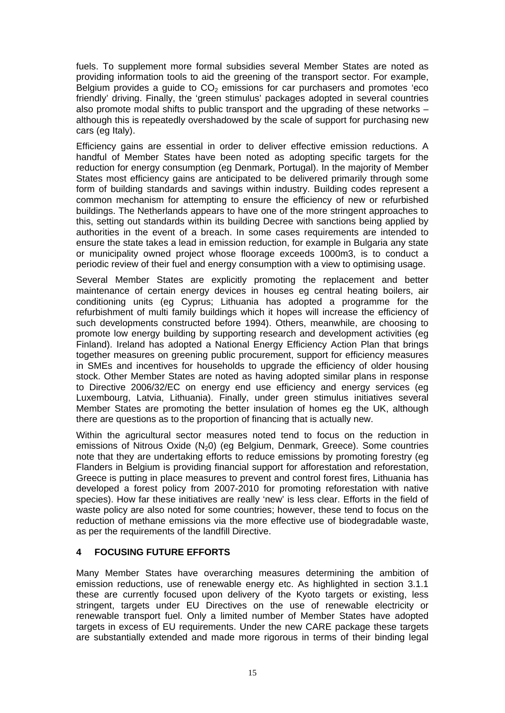<span id="page-14-0"></span>fuels. To supplement more formal subsidies several Member States are noted as providing information tools to aid the greening of the transport sector. For example, Belgium provides a guide to  $CO<sub>2</sub>$  emissions for car purchasers and promotes 'eco friendly' driving. Finally, the 'green stimulus' packages adopted in several countries also promote modal shifts to public transport and the upgrading of these networks – although this is repeatedly overshadowed by the scale of support for purchasing new cars (eg Italy).

Efficiency gains are essential in order to deliver effective emission reductions. A handful of Member States have been noted as adopting specific targets for the reduction for energy consumption (eg Denmark, Portugal). In the majority of Member States most efficiency gains are anticipated to be delivered primarily through some form of building standards and savings within industry. Building codes represent a common mechanism for attempting to ensure the efficiency of new or refurbished buildings. The Netherlands appears to have one of the more stringent approaches to this, setting out standards within its building Decree with sanctions being applied by authorities in the event of a breach. In some cases requirements are intended to ensure the state takes a lead in emission reduction, for example in Bulgaria any state or municipality owned project whose floorage exceeds 1000m3, is to conduct a periodic review of their fuel and energy consumption with a view to optimising usage.

Several Member States are explicitly promoting the replacement and better maintenance of certain energy devices in houses eg central heating boilers, air conditioning units (eg Cyprus; Lithuania has adopted a programme for the refurbishment of multi family buildings which it hopes will increase the efficiency of such developments constructed before 1994). Others, meanwhile, are choosing to promote low energy building by supporting research and development activities (eg Finland). Ireland has adopted a National Energy Efficiency Action Plan that brings together measures on greening public procurement, support for efficiency measures in SMEs and incentives for households to upgrade the efficiency of older housing stock. Other Member States are noted as having adopted similar plans in response to Directive 2006/32/EC on energy end use efficiency and energy services (eg Luxembourg, Latvia, Lithuania). Finally, under green stimulus initiatives several Member States are promoting the better insulation of homes eg the UK, although there are questions as to the proportion of financing that is actually new.

Within the agricultural sector measures noted tend to focus on the reduction in emissions of Nitrous Oxide  $(N_2 0)$  (eg Belgium, Denmark, Greece). Some countries note that they are undertaking efforts to reduce emissions by promoting forestry (eg Flanders in Belgium is providing financial support for afforestation and reforestation, Greece is putting in place measures to prevent and control forest fires, Lithuania has developed a forest policy from 2007-2010 for promoting reforestation with native species). How far these initiatives are really 'new' is less clear. Efforts in the field of waste policy are also noted for some countries; however, these tend to focus on the reduction of methane emissions via the more effective use of biodegradable waste, as per the requirements of the landfill Directive.

#### **4 FOCUSING FUTURE EFFORTS**

Many Member States have overarching measures determining the ambition of emission reductions, use of renewable energy etc. As highlighted in section 3.1.1 these are currently focused upon delivery of the Kyoto targets or existing, less stringent, targets under EU Directives on the use of renewable electricity or renewable transport fuel. Only a limited number of Member States have adopted targets in excess of EU requirements. Under the new CARE package these targets are substantially extended and made more rigorous in terms of their binding legal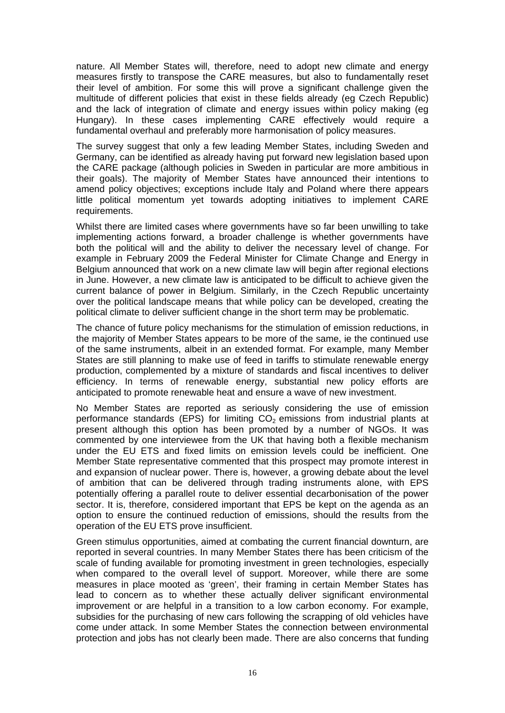nature. All Member States will, therefore, need to adopt new climate and energy measures firstly to transpose the CARE measures, but also to fundamentally reset their level of ambition. For some this will prove a significant challenge given the multitude of different policies that exist in these fields already (eg Czech Republic) and the lack of integration of climate and energy issues within policy making (eg Hungary). In these cases implementing CARE effectively would require a fundamental overhaul and preferably more harmonisation of policy measures.

The survey suggest that only a few leading Member States, including Sweden and Germany, can be identified as already having put forward new legislation based upon the CARE package (although policies in Sweden in particular are more ambitious in their goals). The majority of Member States have announced their intentions to amend policy objectives; exceptions include Italy and Poland where there appears little political momentum yet towards adopting initiatives to implement CARE requirements.

Whilst there are limited cases where governments have so far been unwilling to take implementing actions forward, a broader challenge is whether governments have both the political will and the ability to deliver the necessary level of change. For example in February 2009 the Federal Minister for Climate Change and Energy in Belgium announced that work on a new climate law will begin after regional elections in June. However, a new climate law is anticipated to be difficult to achieve given the current balance of power in Belgium. Similarly, in the Czech Republic uncertainty over the political landscape means that while policy can be developed, creating the political climate to deliver sufficient change in the short term may be problematic.

The chance of future policy mechanisms for the stimulation of emission reductions, in the majority of Member States appears to be more of the same, ie the continued use of the same instruments, albeit in an extended format. For example, many Member States are still planning to make use of feed in tariffs to stimulate renewable energy production, complemented by a mixture of standards and fiscal incentives to deliver efficiency. In terms of renewable energy, substantial new policy efforts are anticipated to promote renewable heat and ensure a wave of new investment.

No Member States are reported as seriously considering the use of emission performance standards (EPS) for limiting  $CO<sub>2</sub>$  emissions from industrial plants at present although this option has been promoted by a number of NGOs. It was commented by one interviewee from the UK that having both a flexible mechanism under the EU ETS and fixed limits on emission levels could be inefficient. One Member State representative commented that this prospect may promote interest in and expansion of nuclear power. There is, however, a growing debate about the level of ambition that can be delivered through trading instruments alone, with EPS potentially offering a parallel route to deliver essential decarbonisation of the power sector. It is, therefore, considered important that EPS be kept on the agenda as an option to ensure the continued reduction of emissions, should the results from the operation of the EU ETS prove insufficient.

Green stimulus opportunities, aimed at combating the current financial downturn, are reported in several countries. In many Member States there has been criticism of the scale of funding available for promoting investment in green technologies, especially when compared to the overall level of support. Moreover, while there are some measures in place mooted as 'green', their framing in certain Member States has lead to concern as to whether these actually deliver significant environmental improvement or are helpful in a transition to a low carbon economy. For example, subsidies for the purchasing of new cars following the scrapping of old vehicles have come under attack. In some Member States the connection between environmental protection and jobs has not clearly been made. There are also concerns that funding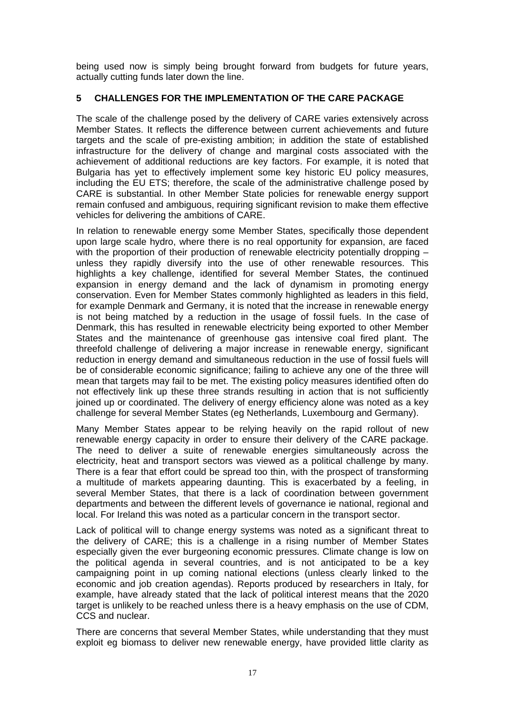being used now is simply being brought forward from budgets for future years, actually cutting funds later down the line.

### **5 CHALLENGES FOR THE IMPLEMENTATION OF THE CARE PACKAGE**

The scale of the challenge posed by the delivery of CARE varies extensively across Member States. It reflects the difference between current achievements and future targets and the scale of pre-existing ambition; in addition the state of established infrastructure for the delivery of change and marginal costs associated with the achievement of additional reductions are key factors. For example, it is noted that Bulgaria has yet to effectively implement some key historic EU policy measures, including the EU ETS; therefore, the scale of the administrative challenge posed by CARE is substantial. In other Member State policies for renewable energy support remain confused and ambiguous, requiring significant revision to make them effective vehicles for delivering the ambitions of CARE.

In relation to renewable energy some Member States, specifically those dependent upon large scale hydro, where there is no real opportunity for expansion, are faced with the proportion of their production of renewable electricity potentially dropping – unless they rapidly diversify into the use of other renewable resources. This highlights a key challenge, identified for several Member States, the continued expansion in energy demand and the lack of dynamism in promoting energy conservation. Even for Member States commonly highlighted as leaders in this field, for example Denmark and Germany, it is noted that the increase in renewable energy is not being matched by a reduction in the usage of fossil fuels. In the case of Denmark, this has resulted in renewable electricity being exported to other Member States and the maintenance of greenhouse gas intensive coal fired plant. The threefold challenge of delivering a major increase in renewable energy, significant reduction in energy demand and simultaneous reduction in the use of fossil fuels will be of considerable economic significance; failing to achieve any one of the three will mean that targets may fail to be met. The existing policy measures identified often do not effectively link up these three strands resulting in action that is not sufficiently joined up or coordinated. The delivery of energy efficiency alone was noted as a key challenge for several Member States (eg Netherlands, Luxembourg and Germany).

Many Member States appear to be relying heavily on the rapid rollout of new renewable energy capacity in order to ensure their delivery of the CARE package. The need to deliver a suite of renewable energies simultaneously across the electricity, heat and transport sectors was viewed as a political challenge by many. There is a fear that effort could be spread too thin, with the prospect of transforming a multitude of markets appearing daunting. This is exacerbated by a feeling, in several Member States, that there is a lack of coordination between government departments and between the different levels of governance ie national, regional and local. For Ireland this was noted as a particular concern in the transport sector.

Lack of political will to change energy systems was noted as a significant threat to the delivery of CARE; this is a challenge in a rising number of Member States especially given the ever burgeoning economic pressures. Climate change is low on the political agenda in several countries, and is not anticipated to be a key campaigning point in up coming national elections (unless clearly linked to the economic and job creation agendas). Reports produced by researchers in Italy, for example, have already stated that the lack of political interest means that the 2020 target is unlikely to be reached unless there is a heavy emphasis on the use of CDM, CCS and nuclear.

There are concerns that several Member States, while understanding that they must exploit eg biomass to deliver new renewable energy, have provided little clarity as